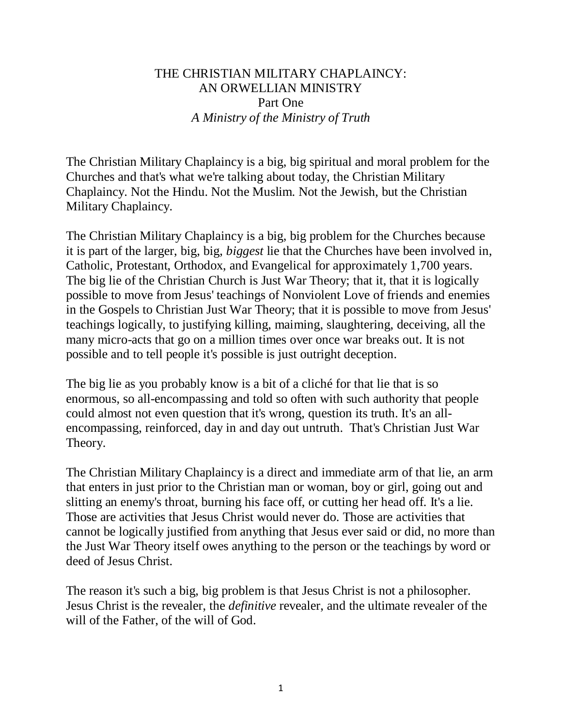## THE CHRISTIAN MILITARY CHAPLAINCY: AN ORWELLIAN MINISTRY Part One *A Ministry of the Ministry of Truth*

The Christian Military Chaplaincy is a big, big spiritual and moral problem for the Churches and that's what we're talking about today, the Christian Military Chaplaincy. Not the Hindu. Not the Muslim. Not the Jewish, but the Christian Military Chaplaincy.

The Christian Military Chaplaincy is a big, big problem for the Churches because it is part of the larger, big, big, *biggest* lie that the Churches have been involved in, Catholic, Protestant, Orthodox, and Evangelical for approximately 1,700 years. The big lie of the Christian Church is Just War Theory; that it, that it is logically possible to move from Jesus' teachings of Nonviolent Love of friends and enemies in the Gospels to Christian Just War Theory; that it is possible to move from Jesus' teachings logically, to justifying killing, maiming, slaughtering, deceiving, all the many micro-acts that go on a million times over once war breaks out. It is not possible and to tell people it's possible is just outright deception.

The big lie as you probably know is a bit of a cliché for that lie that is so enormous, so all-encompassing and told so often with such authority that people could almost not even question that it's wrong, question its truth. It's an allencompassing, reinforced, day in and day out untruth. That's Christian Just War Theory.

The Christian Military Chaplaincy is a direct and immediate arm of that lie, an arm that enters in just prior to the Christian man or woman, boy or girl, going out and slitting an enemy's throat, burning his face off, or cutting her head off. It's a lie. Those are activities that Jesus Christ would never do. Those are activities that cannot be logically justified from anything that Jesus ever said or did, no more than the Just War Theory itself owes anything to the person or the teachings by word or deed of Jesus Christ.

The reason it's such a big, big problem is that Jesus Christ is not a philosopher. Jesus Christ is the revealer, the *definitive* revealer, and the ultimate revealer of the will of the Father, of the will of God.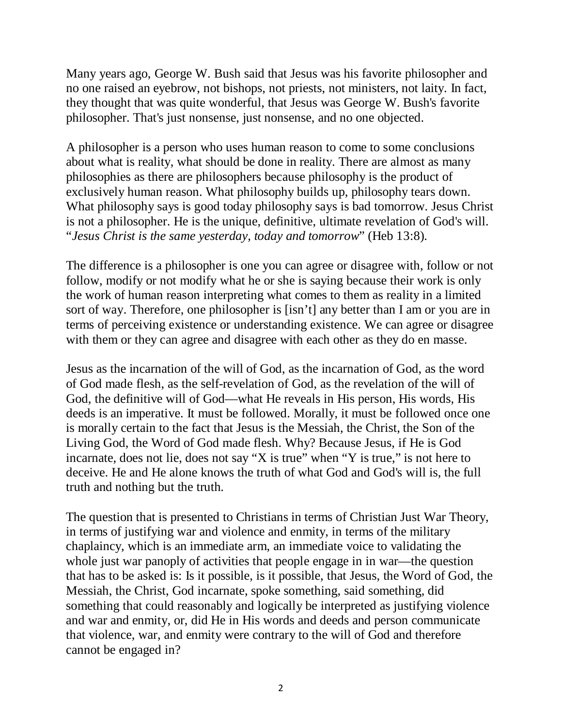Many years ago, George W. Bush said that Jesus was his favorite philosopher and no one raised an eyebrow, not bishops, not priests, not ministers, not laity. In fact, they thought that was quite wonderful, that Jesus was George W. Bush's favorite philosopher. That's just nonsense, just nonsense, and no one objected.

A philosopher is a person who uses human reason to come to some conclusions about what is reality, what should be done in reality. There are almost as many philosophies as there are philosophers because philosophy is the product of exclusively human reason. What philosophy builds up, philosophy tears down. What philosophy says is good today philosophy says is bad tomorrow. Jesus Christ is not a philosopher. He is the unique, definitive, ultimate revelation of God's will. "*Jesus Christ is the same yesterday, today and tomorrow*" (Heb 13:8).

The difference is a philosopher is one you can agree or disagree with, follow or not follow, modify or not modify what he or she is saying because their work is only the work of human reason interpreting what comes to them as reality in a limited sort of way. Therefore, one philosopher is [isn't] any better than I am or you are in terms of perceiving existence or understanding existence. We can agree or disagree with them or they can agree and disagree with each other as they do en masse.

Jesus as the incarnation of the will of God, as the incarnation of God, as the word of God made flesh, as the self-revelation of God, as the revelation of the will of God, the definitive will of God—what He reveals in His person, His words, His deeds is an imperative. It must be followed. Morally, it must be followed once one is morally certain to the fact that Jesus is the Messiah, the Christ, the Son of the Living God, the Word of God made flesh. Why? Because Jesus, if He is God incarnate, does not lie, does not say "X is true" when "Y is true," is not here to deceive. He and He alone knows the truth of what God and God's will is, the full truth and nothing but the truth.

The question that is presented to Christians in terms of Christian Just War Theory, in terms of justifying war and violence and enmity, in terms of the military chaplaincy, which is an immediate arm, an immediate voice to validating the whole just war panoply of activities that people engage in in war—the question that has to be asked is: Is it possible, is it possible, that Jesus, the Word of God, the Messiah, the Christ, God incarnate, spoke something, said something, did something that could reasonably and logically be interpreted as justifying violence and war and enmity, or, did He in His words and deeds and person communicate that violence, war, and enmity were contrary to the will of God and therefore cannot be engaged in?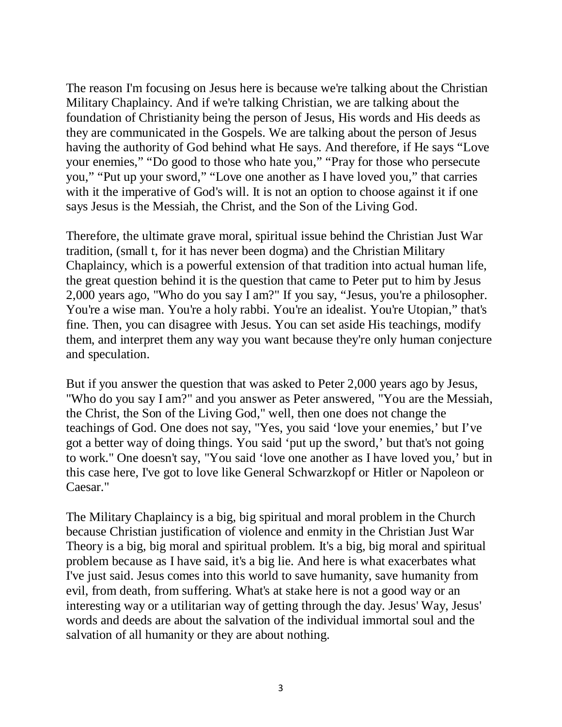The reason I'm focusing on Jesus here is because we're talking about the Christian Military Chaplaincy. And if we're talking Christian, we are talking about the foundation of Christianity being the person of Jesus, His words and His deeds as they are communicated in the Gospels. We are talking about the person of Jesus having the authority of God behind what He says. And therefore, if He says "Love your enemies," "Do good to those who hate you," "Pray for those who persecute you," "Put up your sword," "Love one another as I have loved you," that carries with it the imperative of God's will. It is not an option to choose against it if one says Jesus is the Messiah, the Christ, and the Son of the Living God.

Therefore, the ultimate grave moral, spiritual issue behind the Christian Just War tradition, (small t, for it has never been dogma) and the Christian Military Chaplaincy, which is a powerful extension of that tradition into actual human life, the great question behind it is the question that came to Peter put to him by Jesus 2,000 years ago, "Who do you say I am?" If you say, "Jesus, you're a philosopher. You're a wise man. You're a holy rabbi. You're an idealist. You're Utopian," that's fine. Then, you can disagree with Jesus. You can set aside His teachings, modify them, and interpret them any way you want because they're only human conjecture and speculation.

But if you answer the question that was asked to Peter 2,000 years ago by Jesus, "Who do you say I am?" and you answer as Peter answered, "You are the Messiah, the Christ, the Son of the Living God," well, then one does not change the teachings of God. One does not say, "Yes, you said 'love your enemies,' but I've got a better way of doing things. You said 'put up the sword,' but that's not going to work." One doesn't say, "You said 'love one another as I have loved you,' but in this case here, I've got to love like General Schwarzkopf or Hitler or Napoleon or Caesar."

The Military Chaplaincy is a big, big spiritual and moral problem in the Church because Christian justification of violence and enmity in the Christian Just War Theory is a big, big moral and spiritual problem. It's a big, big moral and spiritual problem because as I have said, it's a big lie. And here is what exacerbates what I've just said. Jesus comes into this world to save humanity, save humanity from evil, from death, from suffering. What's at stake here is not a good way or an interesting way or a utilitarian way of getting through the day. Jesus' Way, Jesus' words and deeds are about the salvation of the individual immortal soul and the salvation of all humanity or they are about nothing.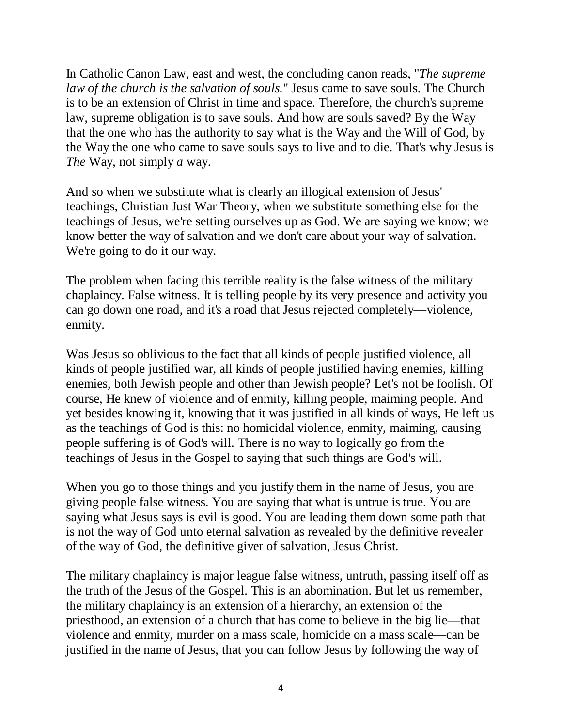In Catholic Canon Law, east and west, the concluding canon reads, "*The supreme law of the church is the salvation of souls.*" Jesus came to save souls. The Church is to be an extension of Christ in time and space. Therefore, the church's supreme law, supreme obligation is to save souls. And how are souls saved? By the Way that the one who has the authority to say what is the Way and the Will of God, by the Way the one who came to save souls says to live and to die. That's why Jesus is *The* Way, not simply *a* way.

And so when we substitute what is clearly an illogical extension of Jesus' teachings, Christian Just War Theory, when we substitute something else for the teachings of Jesus, we're setting ourselves up as God. We are saying we know; we know better the way of salvation and we don't care about your way of salvation. We're going to do it our way.

The problem when facing this terrible reality is the false witness of the military chaplaincy. False witness. It is telling people by its very presence and activity you can go down one road, and it's a road that Jesus rejected completely—violence, enmity.

Was Jesus so oblivious to the fact that all kinds of people justified violence, all kinds of people justified war, all kinds of people justified having enemies, killing enemies, both Jewish people and other than Jewish people? Let's not be foolish. Of course, He knew of violence and of enmity, killing people, maiming people. And yet besides knowing it, knowing that it was justified in all kinds of ways, He left us as the teachings of God is this: no homicidal violence, enmity, maiming, causing people suffering is of God's will. There is no way to logically go from the teachings of Jesus in the Gospel to saying that such things are God's will.

When you go to those things and you justify them in the name of Jesus, you are giving people false witness. You are saying that what is untrue is true. You are saying what Jesus says is evil is good. You are leading them down some path that is not the way of God unto eternal salvation as revealed by the definitive revealer of the way of God, the definitive giver of salvation, Jesus Christ.

The military chaplaincy is major league false witness, untruth, passing itself off as the truth of the Jesus of the Gospel. This is an abomination. But let us remember, the military chaplaincy is an extension of a hierarchy, an extension of the priesthood, an extension of a church that has come to believe in the big lie—that violence and enmity, murder on a mass scale, homicide on a mass scale—can be justified in the name of Jesus, that you can follow Jesus by following the way of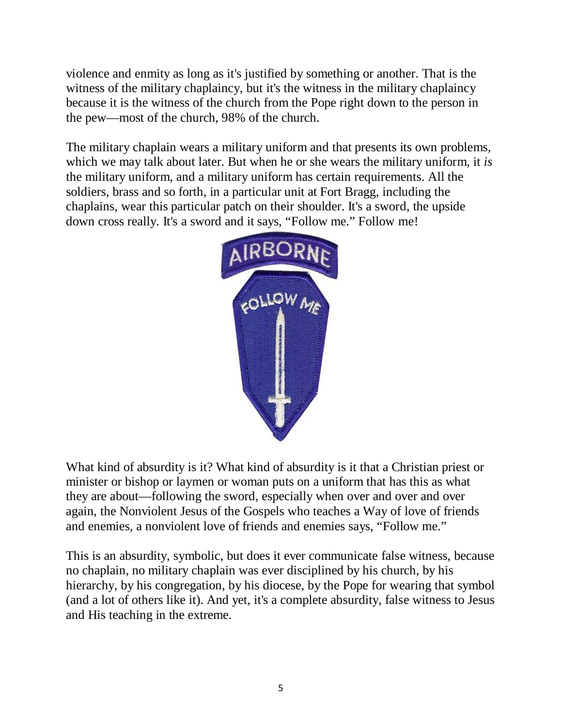violence and enmity as long as it's justified by something or another. That is the witness of the military chaplaincy, but it's the witness in the military chaplaincy because it is the witness of the church from the Pope right down to the person in the pew—most of the church, 98% of the church.

The military chaplain wears a military uniform and that presents its own problems, which we may talk about later. But when he or she wears the military uniform, it *is* the military uniform, and a military uniform has certain requirements. All the soldiers, brass and so forth, in a particular unit at Fort Bragg, including the chaplains, wear this particular patch on their shoulder. It's a sword, the upside down cross really. It's a sword and it says, "Follow me." Follow me!



What kind of absurdity is it? What kind of absurdity is it that a Christian priest or minister or bishop or laymen or woman puts on a uniform that has this as what they are about—following the sword, especially when over and over and over again, the Nonviolent Jesus of the Gospels who teaches a Way of love of friends and enemies, a nonviolent love of friends and enemies says, "Follow me."

This is an absurdity, symbolic, but does it ever communicate false witness, because no chaplain, no military chaplain was ever disciplined by his church, by his hierarchy, by his congregation, by his diocese, by the Pope for wearing that symbol (and a lot of others like it). And yet, it's a complete absurdity, false witness to Jesus and His teaching in the extreme.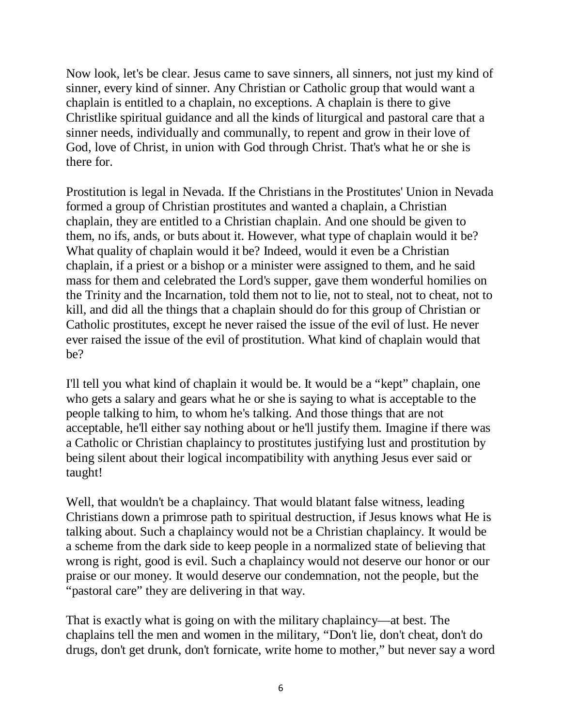Now look, let's be clear. Jesus came to save sinners, all sinners, not just my kind of sinner, every kind of sinner. Any Christian or Catholic group that would want a chaplain is entitled to a chaplain, no exceptions. A chaplain is there to give Christlike spiritual guidance and all the kinds of liturgical and pastoral care that a sinner needs, individually and communally, to repent and grow in their love of God, love of Christ, in union with God through Christ. That's what he or she is there for.

Prostitution is legal in Nevada. If the Christians in the Prostitutes' Union in Nevada formed a group of Christian prostitutes and wanted a chaplain, a Christian chaplain, they are entitled to a Christian chaplain. And one should be given to them, no ifs, ands, or buts about it. However, what type of chaplain would it be? What quality of chaplain would it be? Indeed, would it even be a Christian chaplain, if a priest or a bishop or a minister were assigned to them, and he said mass for them and celebrated the Lord's supper, gave them wonderful homilies on the Trinity and the Incarnation, told them not to lie, not to steal, not to cheat, not to kill, and did all the things that a chaplain should do for this group of Christian or Catholic prostitutes, except he never raised the issue of the evil of lust. He never ever raised the issue of the evil of prostitution. What kind of chaplain would that be?

I'll tell you what kind of chaplain it would be. It would be a "kept" chaplain, one who gets a salary and gears what he or she is saying to what is acceptable to the people talking to him, to whom he's talking. And those things that are not acceptable, he'll either say nothing about or he'll justify them. Imagine if there was a Catholic or Christian chaplaincy to prostitutes justifying lust and prostitution by being silent about their logical incompatibility with anything Jesus ever said or taught!

Well, that wouldn't be a chaplaincy. That would blatant false witness, leading Christians down a primrose path to spiritual destruction, if Jesus knows what He is talking about. Such a chaplaincy would not be a Christian chaplaincy. It would be a scheme from the dark side to keep people in a normalized state of believing that wrong is right, good is evil. Such a chaplaincy would not deserve our honor or our praise or our money. It would deserve our condemnation, not the people, but the "pastoral care" they are delivering in that way.

That is exactly what is going on with the military chaplaincy—at best. The chaplains tell the men and women in the military, "Don't lie, don't cheat, don't do drugs, don't get drunk, don't fornicate, write home to mother," but never say a word